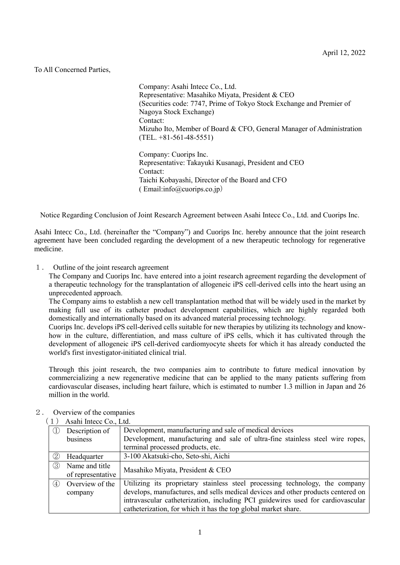## To All Concerned Parties,

Company: Asahi Intecc Co., Ltd. Representative: Masahiko Miyata, President & CEO (Securities code: 7747, Prime of Tokyo Stock Exchange and Premier of Nagoya Stock Exchange) Contact: Mizuho Ito, Member of Board & CFO, General Manager of Administration (TEL. +81-561-48-5551) Company: Cuorips Inc. Representative: Takayuki Kusanagi, President and CEO

Contact: Taichi Kobayashi, Director of the Board and CFO ( Email:info@cuorips.co.jp)

Notice Regarding Conclusion of Joint Research Agreement between Asahi Intecc Co., Ltd. and Cuorips Inc.

Asahi Intecc Co., Ltd. (hereinafter the "Company") and Cuorips Inc. hereby announce that the joint research agreement have been concluded regarding the development of a new therapeutic technology for regenerative medicine.

1. Outline of the joint research agreement

The Company and Cuorips Inc. have entered into a joint research agreement regarding the development of a therapeutic technology for the transplantation of allogeneic iPS cell-derived cells into the heart using an unprecedented approach.

The Company aims to establish a new cell transplantation method that will be widely used in the market by making full use of its catheter product development capabilities, which are highly regarded both domestically and internationally based on its advanced material processing technology.

Cuorips Inc. develops iPS cell-derived cells suitable for new therapies by utilizing its technology and knowhow in the culture, differentiation, and mass culture of iPS cells, which it has cultivated through the development of allogeneic iPS cell-derived cardiomyocyte sheets for which it has already conducted the world's first investigator-initiated clinical trial.

Through this joint research, the two companies aim to contribute to future medical innovation by commercializing a new regenerative medicine that can be applied to the many patients suffering from cardiovascular diseases, including heart failure, which is estimated to number 1.3 million in Japan and 26 million in the world.

|               | Asahi Intecc Co., Ltd. |                                                                                  |
|---------------|------------------------|----------------------------------------------------------------------------------|
|               | Description of         | Development, manufacturing and sale of medical devices                           |
|               | business               | Development, manufacturing and sale of ultra-fine stainless steel wire ropes,    |
|               |                        | terminal processed products, etc.                                                |
| (2)           | Headquarter            | 3-100 Akatsuki-cho, Seto-shi, Aichi                                              |
| $\circled{3}$ | Name and title         | Masahiko Miyata, President & CEO                                                 |
|               | of representative      |                                                                                  |
| (4)           | Overview of the        | Utilizing its proprietary stainless steel processing technology, the company     |
|               | company                | develops, manufactures, and sells medical devices and other products centered on |
|               |                        | intravascular catheterization, including PCI guidewires used for cardiovascular  |
|               |                        | catheterization, for which it has the top global market share.                   |

## 2. Overview of the companies